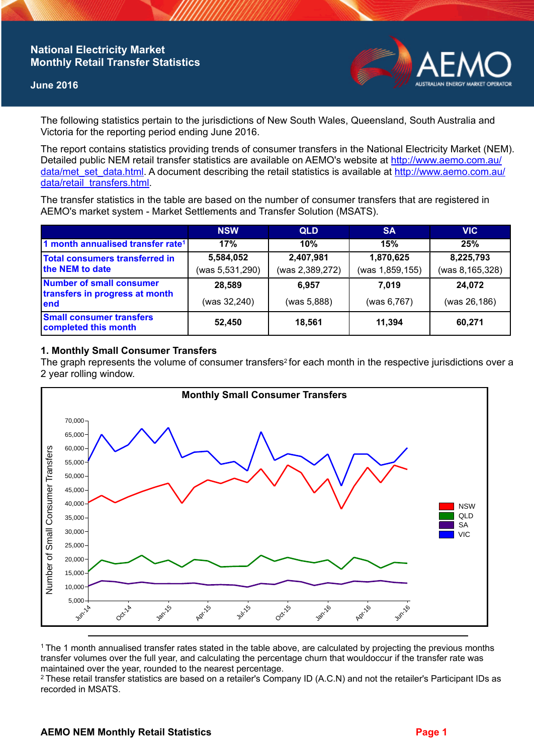## **National Electricity Market Monthly Retail Transfer Statistics**

### **June 2016**



The following statistics pertain to the jurisdictions of New South Wales, Queensland, South Australia and Victoria for the reporting period ending June 2016.

The report contains statistics providing trends of consumer transfers in the National Electricity Market (NEM). Detailed public NEM retail transfer statistics are available on AEMO's website at [http://www.aemo.com.au/](http://www.aemo.com.au/data/met_set_data.html) [data/met\\_set\\_data.html](http://www.aemo.com.au/data/met_set_data.html). A document describing the retail statistics is available at [http://www.aemo.com.au/](http://www.aemo.com.au/data/retail_transfers.html) [data/retail\\_transfers.html](http://www.aemo.com.au/data/retail_transfers.html).

The transfer statistics in the table are based on the number of consumer transfers that are registered in AEMO's market system - Market Settlements and Transfer Solution (MSATS).

|                                                                           | <b>NSW</b>                   | <b>QLD</b>                   | <b>SA</b>                    | <b>VIC</b>                   |
|---------------------------------------------------------------------------|------------------------------|------------------------------|------------------------------|------------------------------|
| 1 month annualised transfer rate <sup>1</sup>                             | 17%                          | 10%                          | 15%                          | 25%                          |
| Total consumers transferred in<br>the NEM to date                         | 5,584,052<br>(was 5,531,290) | 2,407,981<br>(was 2,389,272) | 1,870,625<br>(was 1,859,155) | 8,225,793<br>(was 8,165,328) |
| <b>Number of small consumer</b><br>transfers in progress at month<br>lend | 28,589                       | 6.957                        | 7.019                        | 24,072                       |
|                                                                           | (was 32,240)                 | (was 5,888)                  | (was 6,767)                  | (was 26,186)                 |
| <b>Small consumer transfers</b><br>completed this month                   | 52,450                       | 18,561                       | 11.394                       | 60,271                       |

## **1. Monthly Small Consumer Transfers**

The graph represents the volume of consumer transfers<sup>2</sup> for each month in the respective jurisdictions over a 2 year rolling window.



<sup>1</sup>The 1 month annualised transfer rates stated in the table above, are calculated by projecting the previous months transfer volumes over the full year, and calculating the percentage churn that wouldoccur if the transfer rate was maintained over the year, rounded to the nearest percentage.

<sup>2</sup> These retail transfer statistics are based on a retailer's Company ID (A.C.N) and not the retailer's Participant IDs as recorded in MSATS.